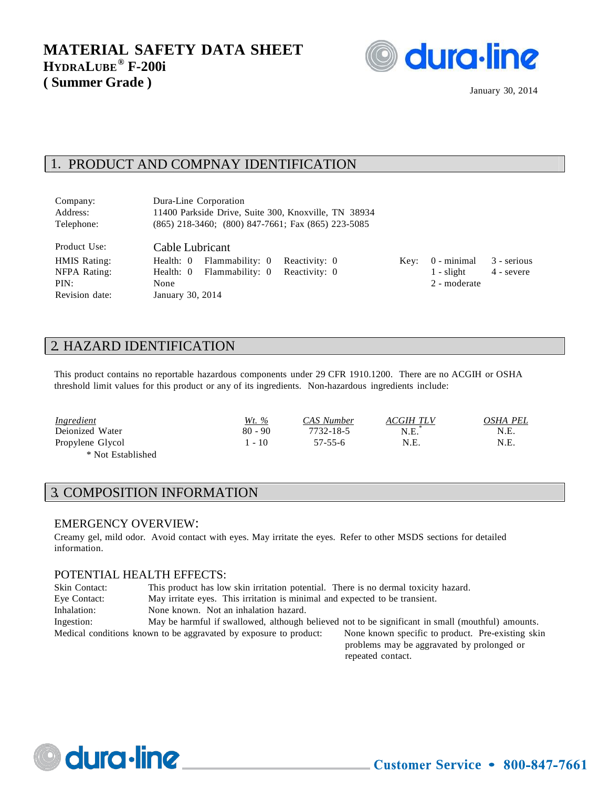

January 30, 2014

### 1. PRODUCT AND COMPNAY IDENTIFICATION

| Company:     | Dura-Line Corporation                                    |      |              |            |
|--------------|----------------------------------------------------------|------|--------------|------------|
| Address:     | 11400 Parkside Drive, Suite 300, Knoxville, TN 38934     |      |              |            |
| Telephone:   | $(865)$ 218-3460; $(800)$ 847-7661; Fax $(865)$ 223-5085 |      |              |            |
| Product Use: | Cable Lubricant                                          |      |              |            |
| HMIS Rating: | Flammability: 0 Reactivity: 0<br>Health: 0               | Kev: | 0 - minimal  | 3 - seriou |
| NFPA Rating: | Health: 0 Flammability: 0 Reactivity: 0                  |      | $1 -$ slight | 4 - severe |

Key:  $0$  - minimal  $3$  - serious PIN: None 2 - moderate

### 2. HAZARD IDENTIFICATION

Revision date: January 30, 2014

This product contains no reportable hazardous components under 29 CFR 1910.1200. There are no ACGIH or OSHA threshold limit values for this product or any of its ingredients. Non-hazardous ingredients include:

| <i><u><b>Ingredient</b></u></i> | <u>Wt. %</u> | CAS Number | ACGIH TLV | OSHA PEL |
|---------------------------------|--------------|------------|-----------|----------|
| Deionized Water                 | $80 - 90$    | 7732-18-5  | N.E.      | N.E.     |
| Propylene Glycol                | $-10$        | 57-55-6    | N.E.      | N.E.     |
| * Not Established               |              |            |           |          |

### 3. COMPOSITION INFORMATION

#### EMERGENCY OVERVIEW:

dura-line

Creamy gel, mild odor. Avoid contact with eyes. May irritate the eyes. Refer to other MSDS sections for detailed information.

#### POTENTIAL HEALTH EFFECTS:

| Skin Contact: | This product has low skin irritation potential. There is no dermal toxicity hazard. |                                                                                                   |  |
|---------------|-------------------------------------------------------------------------------------|---------------------------------------------------------------------------------------------------|--|
| Eye Contact:  | May irritate eyes. This irritation is minimal and expected to be transient.         |                                                                                                   |  |
| Inhalation:   | None known. Not an inhalation hazard.                                               |                                                                                                   |  |
| Ingestion:    |                                                                                     | May be harmful if swallowed, although believed not to be significant in small (mouthful) amounts. |  |
|               | Medical conditions known to be aggravated by exposure to product:                   | None known specific to product. Pre-existing skin                                                 |  |
|               |                                                                                     | problems may be aggravated by prolonged or                                                        |  |
|               |                                                                                     | repeated contact.                                                                                 |  |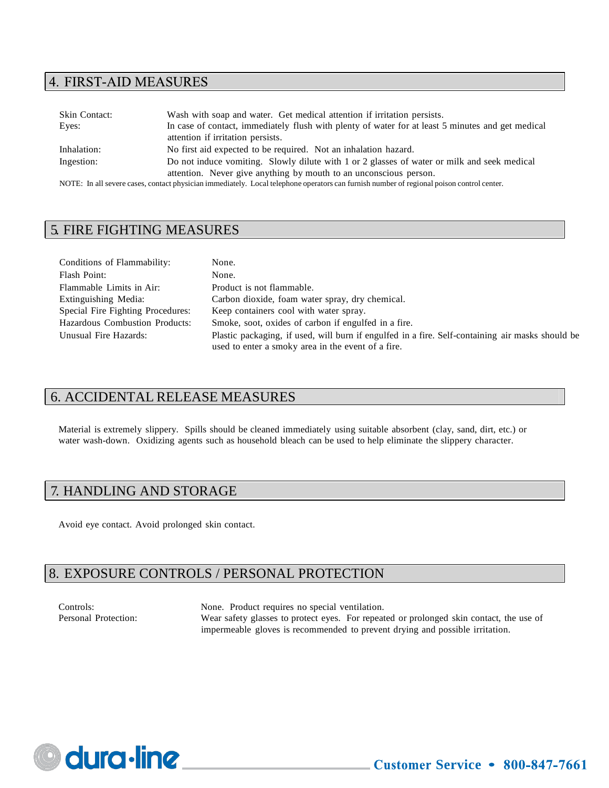### 4. FIRST-AID MEASURES

| <b>Skin Contact:</b> | Wash with soap and water. Get medical attention if irritation persists.                                                                   |  |
|----------------------|-------------------------------------------------------------------------------------------------------------------------------------------|--|
| Eyes:                | In case of contact, immediately flush with plenty of water for at least 5 minutes and get medical                                         |  |
|                      | attention if irritation persists.                                                                                                         |  |
| Inhalation:          | No first aid expected to be required. Not an inhalation hazard.                                                                           |  |
| Ingestion:           | Do not induce vomiting. Slowly dilute with 1 or 2 glasses of water or milk and seek medical                                               |  |
|                      | attention. Never give anything by mouth to an unconscious person.                                                                         |  |
|                      | NOTE. In all sovere eases, contact physician immediately. Local telephone energtors can furnish number of regional poison control center. |  |

NOTE: In all severe cases, contact physician immediately. Local telephone operators can furnish number of regional poison control center.

# 5. FIRE FIGHTING MEASURES

| Conditions of Flammability:           | None.                                                                                            |
|---------------------------------------|--------------------------------------------------------------------------------------------------|
| Flash Point:                          | None.                                                                                            |
| Flammable Limits in Air:              | Product is not flammable.                                                                        |
| Extinguishing Media:                  | Carbon dioxide, foam water spray, dry chemical.                                                  |
| Special Fire Fighting Procedures:     | Keep containers cool with water spray.                                                           |
| <b>Hazardous Combustion Products:</b> | Smoke, soot, oxides of carbon if engulfed in a fire.                                             |
| Unusual Fire Hazards:                 | Plastic packaging, if used, will burn if engulfed in a fire. Self-containing air masks should be |
|                                       | used to enter a smoky area in the event of a fire.                                               |

# 6. ACCIDENTAL RELEASE MEASURES

Material is extremely slippery. Spills should be cleaned immediately using suitable absorbent (clay, sand, dirt, etc.) or water wash-down. Oxidizing agents such as household bleach can be used to help eliminate the slippery character.

# 7. HANDLING AND STORAGE

Avoid eye contact. Avoid prolonged skin contact.

# 8. EXPOSURE CONTROLS / PERSONAL PROTECTION

Controls: None. Product requires no special ventilation. Personal Protection: Wear safety glasses to protect eyes. For repeated or prolonged skin contact, the use of impermeable gloves is recommended to prevent drying and possible irritation.

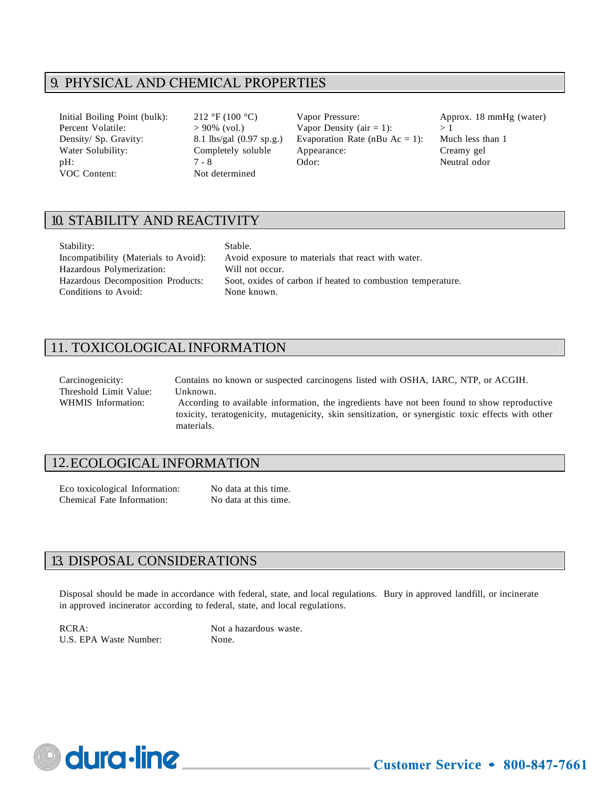# 9. PHYSICAL AND CHEMICAL PROPERTIES

VOC Content: Not determined

Initial Boiling Point (bulk): 212 °F (100 °C) Vapor Pressure: Approx. 18 mmHg (water) Percent Volatile:  $> 90\%$  (vol.) Vapor Density (air = 1):  $> 1$ Density/ Sp. Gravity: 8.1 lbs/gal (0.97 sp.g.) Evaporation Rate (nBu Ac = 1): Much less than 1 Water Solubility: Completely soluble Appearance: Creamy gel pH:  $7 - 8$  Odor: Neutral odor

# 10. STABILITY AND REACTIVITY

| Stability:                            | Stable.         |
|---------------------------------------|-----------------|
| Incompatibility (Materials to Avoid): | Avoid exposure  |
| Hazardous Polymerization:             | Will not occur. |
| Hazardous Decomposition Products:     | Soot, oxides of |
| Conditions to Avoid:                  | None known.     |

posure to materials that react with water. ides of carbon if heated to combustion temperature.

# 11. TOXICOLOGICAL INFORMATION

| Carcinogenicity:       | Contains no known or suspected carcinogens listed with OSHA, IARC, NTP, or ACGIH.                   |
|------------------------|-----------------------------------------------------------------------------------------------------|
| Threshold Limit Value: | Unknown.                                                                                            |
| WHMIS Information:     | According to available information, the ingredients have not been found to show reproductive        |
|                        | toxicity, teratogenicity, mutagenicity, skin sensitization, or synergistic toxic effects with other |
|                        | materials.                                                                                          |

### 12.ECOLOGICAL INFORMATION

Eco toxicological Information: No data at this time. Chemical Fate Information: No data at this time.

### 13. DISPOSAL CONSIDERATIONS

Disposal should be made in accordance with federal, state, and local regulations. Bury in approved landfill, or incinerate in approved incinerator according to federal, state, and local regulations.

RCRA: Not a hazardous waste. U.S. EPA Waste Number: None.